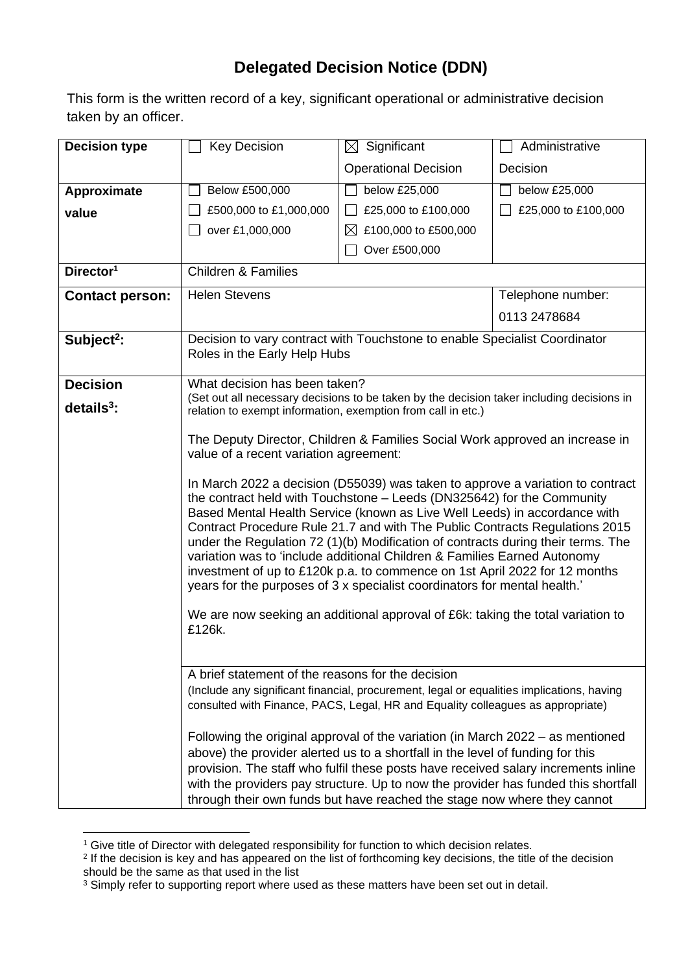## **Delegated Decision Notice (DDN)**

This form is the written record of a key, significant operational or administrative decision taken by an officer.

| <b>Decision type</b>   | <b>Key Decision</b>                                                                                                                                            | $\boxtimes$ Significant           | Administrative      |  |  |
|------------------------|----------------------------------------------------------------------------------------------------------------------------------------------------------------|-----------------------------------|---------------------|--|--|
|                        |                                                                                                                                                                | <b>Operational Decision</b>       | Decision            |  |  |
| Approximate            | Below £500,000                                                                                                                                                 | below £25,000                     | below £25,000       |  |  |
| value                  | £500,000 to £1,000,000                                                                                                                                         | £25,000 to £100,000               | £25,000 to £100,000 |  |  |
|                        | over £1,000,000                                                                                                                                                | £100,000 to £500,000<br>$\bowtie$ |                     |  |  |
|                        |                                                                                                                                                                | Over £500,000                     |                     |  |  |
| Director <sup>1</sup>  | <b>Children &amp; Families</b>                                                                                                                                 |                                   |                     |  |  |
| <b>Contact person:</b> | <b>Helen Stevens</b>                                                                                                                                           |                                   | Telephone number:   |  |  |
|                        |                                                                                                                                                                |                                   | 0113 2478684        |  |  |
| Subject <sup>2</sup> : | Decision to vary contract with Touchstone to enable Specialist Coordinator                                                                                     |                                   |                     |  |  |
|                        | Roles in the Early Help Hubs                                                                                                                                   |                                   |                     |  |  |
| <b>Decision</b>        | What decision has been taken?                                                                                                                                  |                                   |                     |  |  |
| $details3$ :           | (Set out all necessary decisions to be taken by the decision taker including decisions in<br>relation to exempt information, exemption from call in etc.)      |                                   |                     |  |  |
|                        |                                                                                                                                                                |                                   |                     |  |  |
|                        | The Deputy Director, Children & Families Social Work approved an increase in<br>value of a recent variation agreement:                                         |                                   |                     |  |  |
|                        |                                                                                                                                                                |                                   |                     |  |  |
|                        | In March 2022 a decision (D55039) was taken to approve a variation to contract                                                                                 |                                   |                     |  |  |
|                        | the contract held with Touchstone - Leeds (DN325642) for the Community<br>Based Mental Health Service (known as Live Well Leeds) in accordance with            |                                   |                     |  |  |
|                        | Contract Procedure Rule 21.7 and with The Public Contracts Regulations 2015                                                                                    |                                   |                     |  |  |
|                        | under the Regulation 72 (1)(b) Modification of contracts during their terms. The                                                                               |                                   |                     |  |  |
|                        | variation was to 'include additional Children & Families Earned Autonomy<br>investment of up to £120k p.a. to commence on 1st April 2022 for 12 months         |                                   |                     |  |  |
|                        | years for the purposes of 3 x specialist coordinators for mental health.'                                                                                      |                                   |                     |  |  |
|                        | We are now seeking an additional approval of £6k: taking the total variation to                                                                                |                                   |                     |  |  |
|                        | £126k.                                                                                                                                                         |                                   |                     |  |  |
|                        |                                                                                                                                                                |                                   |                     |  |  |
|                        | A brief statement of the reasons for the decision                                                                                                              |                                   |                     |  |  |
|                        | (Include any significant financial, procurement, legal or equalities implications, having                                                                      |                                   |                     |  |  |
|                        | consulted with Finance, PACS, Legal, HR and Equality colleagues as appropriate)                                                                                |                                   |                     |  |  |
|                        | Following the original approval of the variation (in March $2022 - as$ mentioned                                                                               |                                   |                     |  |  |
|                        | above) the provider alerted us to a shortfall in the level of funding for this                                                                                 |                                   |                     |  |  |
|                        | provision. The staff who fulfil these posts have received salary increments inline                                                                             |                                   |                     |  |  |
|                        | with the providers pay structure. Up to now the provider has funded this shortfall<br>through their own funds but have reached the stage now where they cannot |                                   |                     |  |  |
|                        |                                                                                                                                                                |                                   |                     |  |  |

<sup>&</sup>lt;sup>1</sup> Give title of Director with delegated responsibility for function to which decision relates.

<sup>2</sup> If the decision is key and has appeared on the list of forthcoming key decisions, the title of the decision should be the same as that used in the list

 $3$  Simply refer to supporting report where used as these matters have been set out in detail.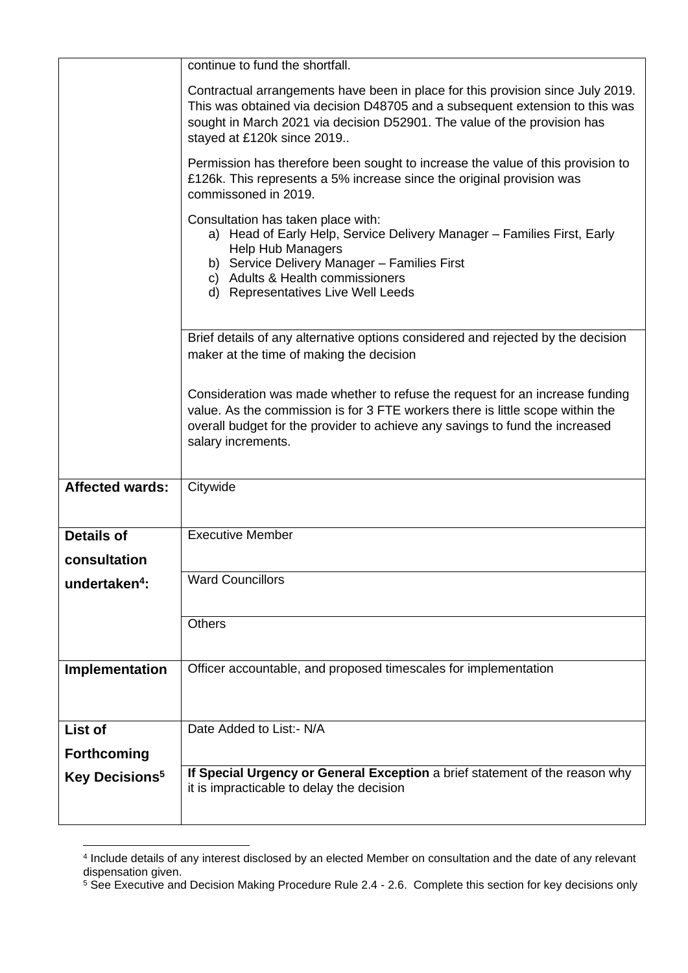| Contractual arrangements have been in place for this provision since July 2019.<br>This was obtained via decision D48705 and a subsequent extension to this was<br>Permission has therefore been sought to increase the value of this provision to |  |  |
|----------------------------------------------------------------------------------------------------------------------------------------------------------------------------------------------------------------------------------------------------|--|--|
|                                                                                                                                                                                                                                                    |  |  |
|                                                                                                                                                                                                                                                    |  |  |
| a) Head of Early Help, Service Delivery Manager - Families First, Early                                                                                                                                                                            |  |  |
| Brief details of any alternative options considered and rejected by the decision                                                                                                                                                                   |  |  |
| Consideration was made whether to refuse the request for an increase funding<br>value. As the commission is for 3 FTE workers there is little scope within the                                                                                     |  |  |
|                                                                                                                                                                                                                                                    |  |  |
|                                                                                                                                                                                                                                                    |  |  |
|                                                                                                                                                                                                                                                    |  |  |
|                                                                                                                                                                                                                                                    |  |  |
|                                                                                                                                                                                                                                                    |  |  |
|                                                                                                                                                                                                                                                    |  |  |
|                                                                                                                                                                                                                                                    |  |  |
|                                                                                                                                                                                                                                                    |  |  |
| If Special Urgency or General Exception a brief statement of the reason why<br>it is impracticable to delay the decision                                                                                                                           |  |  |
|                                                                                                                                                                                                                                                    |  |  |

<sup>4</sup> Include details of any interest disclosed by an elected Member on consultation and the date of any relevant dispensation given.

<sup>&</sup>lt;sup>5</sup> See Executive and Decision Making Procedure Rule 2.4 - 2.6. Complete this section for key decisions only